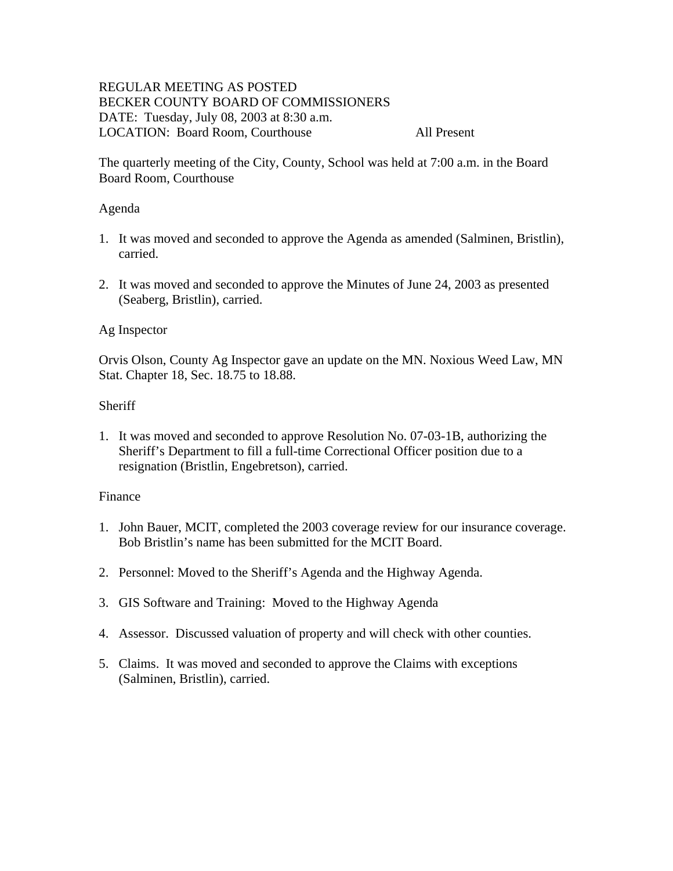# REGULAR MEETING AS POSTED BECKER COUNTY BOARD OF COMMISSIONERS DATE: Tuesday, July 08, 2003 at 8:30 a.m. LOCATION: Board Room, Courthouse All Present

The quarterly meeting of the City, County, School was held at 7:00 a.m. in the Board Board Room, Courthouse

### Agenda

- 1. It was moved and seconded to approve the Agenda as amended (Salminen, Bristlin), carried.
- 2. It was moved and seconded to approve the Minutes of June 24, 2003 as presented (Seaberg, Bristlin), carried.

### Ag Inspector

Orvis Olson, County Ag Inspector gave an update on the MN. Noxious Weed Law, MN Stat. Chapter 18, Sec. 18.75 to 18.88.

#### **Sheriff**

1. It was moved and seconded to approve Resolution No. 07-03-1B, authorizing the Sheriff's Department to fill a full-time Correctional Officer position due to a resignation (Bristlin, Engebretson), carried.

### Finance

- 1. John Bauer, MCIT, completed the 2003 coverage review for our insurance coverage. Bob Bristlin's name has been submitted for the MCIT Board.
- 2. Personnel: Moved to the Sheriff's Agenda and the Highway Agenda.
- 3. GIS Software and Training: Moved to the Highway Agenda
- 4. Assessor. Discussed valuation of property and will check with other counties.
- 5. Claims. It was moved and seconded to approve the Claims with exceptions (Salminen, Bristlin), carried.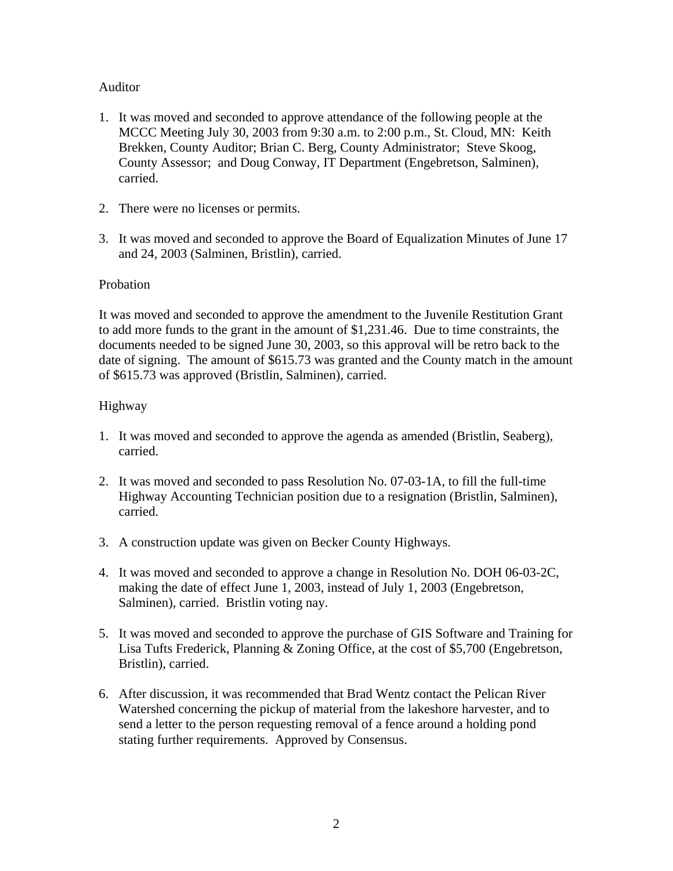# Auditor

- 1. It was moved and seconded to approve attendance of the following people at the MCCC Meeting July 30, 2003 from 9:30 a.m. to 2:00 p.m., St. Cloud, MN: Keith Brekken, County Auditor; Brian C. Berg, County Administrator; Steve Skoog, County Assessor; and Doug Conway, IT Department (Engebretson, Salminen), carried.
- 2. There were no licenses or permits.
- 3. It was moved and seconded to approve the Board of Equalization Minutes of June 17 and 24, 2003 (Salminen, Bristlin), carried.

## Probation

It was moved and seconded to approve the amendment to the Juvenile Restitution Grant to add more funds to the grant in the amount of \$1,231.46. Due to time constraints, the documents needed to be signed June 30, 2003, so this approval will be retro back to the date of signing. The amount of \$615.73 was granted and the County match in the amount of \$615.73 was approved (Bristlin, Salminen), carried.

## Highway

- 1. It was moved and seconded to approve the agenda as amended (Bristlin, Seaberg), carried.
- 2. It was moved and seconded to pass Resolution No. 07-03-1A, to fill the full-time Highway Accounting Technician position due to a resignation (Bristlin, Salminen), carried.
- 3. A construction update was given on Becker County Highways.
- 4. It was moved and seconded to approve a change in Resolution No. DOH 06-03-2C, making the date of effect June 1, 2003, instead of July 1, 2003 (Engebretson, Salminen), carried. Bristlin voting nay.
- 5. It was moved and seconded to approve the purchase of GIS Software and Training for Lisa Tufts Frederick, Planning & Zoning Office, at the cost of \$5,700 (Engebretson, Bristlin), carried.
- 6. After discussion, it was recommended that Brad Wentz contact the Pelican River Watershed concerning the pickup of material from the lakeshore harvester, and to send a letter to the person requesting removal of a fence around a holding pond stating further requirements. Approved by Consensus.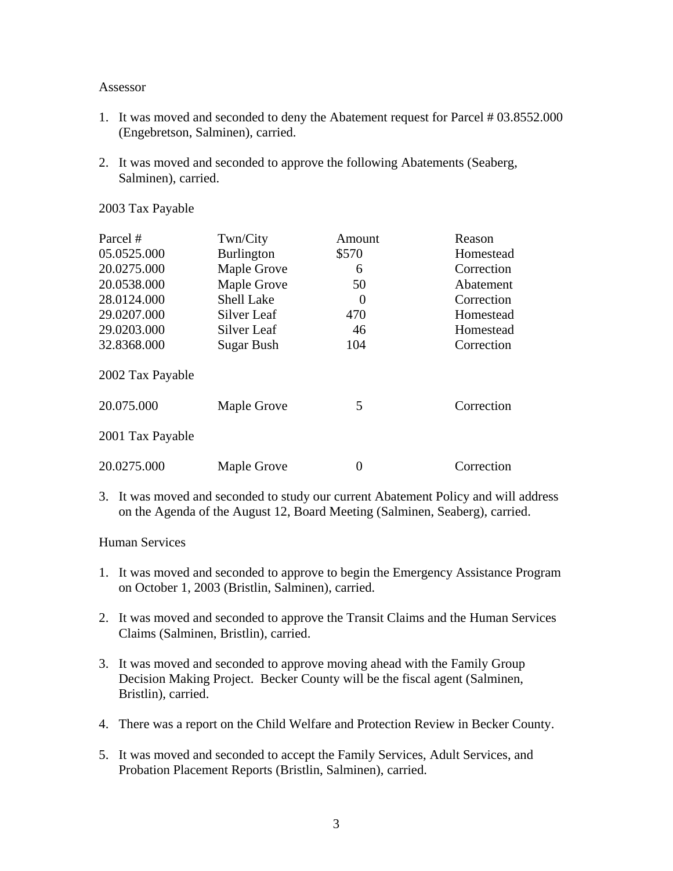#### Assessor

- 1. It was moved and seconded to deny the Abatement request for Parcel # 03.8552.000 (Engebretson, Salminen), carried.
- 2. It was moved and seconded to approve the following Abatements (Seaberg, Salminen), carried.

2003 Tax Payable

| Parcel #         | Twn/City          | Amount   | Reason     |
|------------------|-------------------|----------|------------|
| 05.0525.000      | <b>Burlington</b> | \$570    | Homestead  |
| 20.0275.000      | Maple Grove       | 6        | Correction |
| 20.0538.000      | Maple Grove       | 50       | Abatement  |
| 28.0124.000      | <b>Shell Lake</b> | $\theta$ | Correction |
| 29.0207.000      | Silver Leaf       | 470      | Homestead  |
| 29.0203.000      | Silver Leaf       | 46       | Homestead  |
| 32.8368.000      | <b>Sugar Bush</b> | 104      | Correction |
| 2002 Tax Payable |                   |          |            |
| 20.075.000       | Maple Grove       | 5        | Correction |
| 2001 Tax Payable |                   |          |            |
| 20.0275.000      | Maple Grove       | 0        | Correction |

3. It was moved and seconded to study our current Abatement Policy and will address on the Agenda of the August 12, Board Meeting (Salminen, Seaberg), carried.

Human Services

- 1. It was moved and seconded to approve to begin the Emergency Assistance Program on October 1, 2003 (Bristlin, Salminen), carried.
- 2. It was moved and seconded to approve the Transit Claims and the Human Services Claims (Salminen, Bristlin), carried.
- 3. It was moved and seconded to approve moving ahead with the Family Group Decision Making Project. Becker County will be the fiscal agent (Salminen, Bristlin), carried.
- 4. There was a report on the Child Welfare and Protection Review in Becker County.
- 5. It was moved and seconded to accept the Family Services, Adult Services, and Probation Placement Reports (Bristlin, Salminen), carried.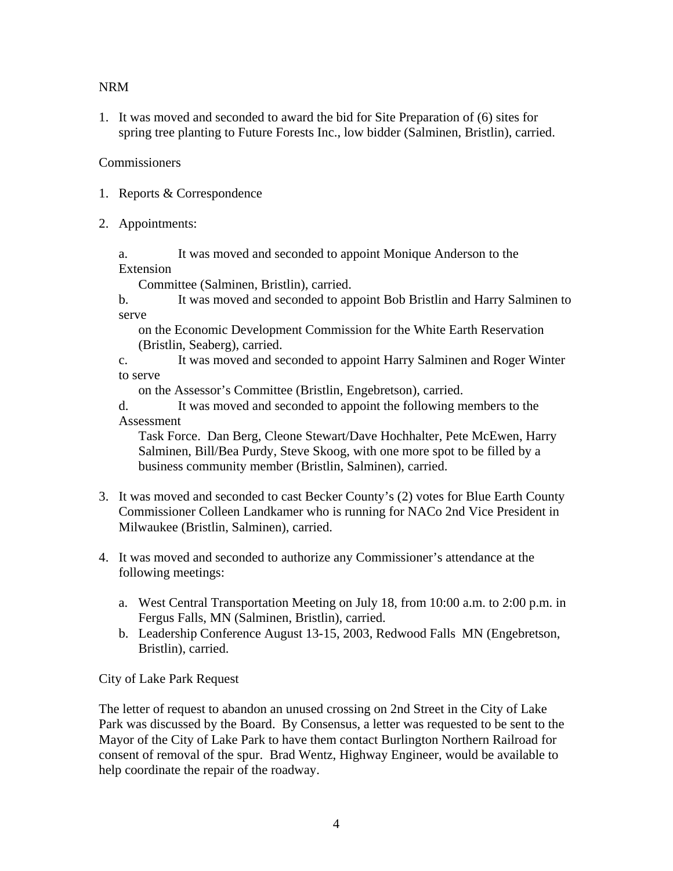## NRM

1. It was moved and seconded to award the bid for Site Preparation of (6) sites for spring tree planting to Future Forests Inc., low bidder (Salminen, Bristlin), carried.

## **Commissioners**

- 1. Reports & Correspondence
- 2. Appointments:

a. It was moved and seconded to appoint Monique Anderson to the Extension

Committee (Salminen, Bristlin), carried.

b. It was moved and seconded to appoint Bob Bristlin and Harry Salminen to serve

on the Economic Development Commission for the White Earth Reservation (Bristlin, Seaberg), carried.

c. It was moved and seconded to appoint Harry Salminen and Roger Winter to serve

on the Assessor's Committee (Bristlin, Engebretson), carried.

d. It was moved and seconded to appoint the following members to the Assessment

Task Force. Dan Berg, Cleone Stewart/Dave Hochhalter, Pete McEwen, Harry Salminen, Bill/Bea Purdy, Steve Skoog, with one more spot to be filled by a business community member (Bristlin, Salminen), carried.

- 3. It was moved and seconded to cast Becker County's (2) votes for Blue Earth County Commissioner Colleen Landkamer who is running for NACo 2nd Vice President in Milwaukee (Bristlin, Salminen), carried.
- 4. It was moved and seconded to authorize any Commissioner's attendance at the following meetings:
	- a. West Central Transportation Meeting on July 18, from 10:00 a.m. to 2:00 p.m. in Fergus Falls, MN (Salminen, Bristlin), carried.
	- b. Leadership Conference August 13-15, 2003, Redwood Falls MN (Engebretson, Bristlin), carried.

City of Lake Park Request

The letter of request to abandon an unused crossing on 2nd Street in the City of Lake Park was discussed by the Board. By Consensus, a letter was requested to be sent to the Mayor of the City of Lake Park to have them contact Burlington Northern Railroad for consent of removal of the spur. Brad Wentz, Highway Engineer, would be available to help coordinate the repair of the roadway.